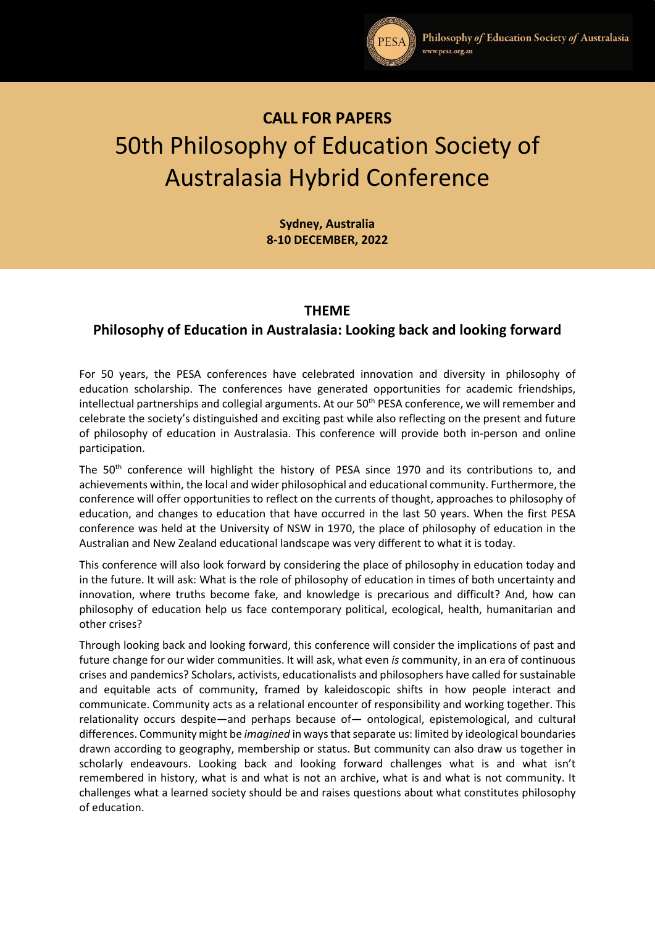

# **CALL FOR PAPERS** 50th Philosophy of Education Society of Australasia Hybrid Conference

**Sydney, Australia 8-10 DECEMBER, 2022**

## **THEME**

# **Philosophy of Education in Australasia: Looking back and looking forward**

For 50 years, the PESA conferences have celebrated innovation and diversity in philosophy of education scholarship. The conferences have generated opportunities for academic friendships, intellectual partnerships and collegial arguments. At our 50<sup>th</sup> PESA conference, we will remember and celebrate the society's distinguished and exciting past while also reflecting on the present and future of philosophy of education in Australasia. This conference will provide both in-person and online participation.

The 50<sup>th</sup> conference will highlight the history of PESA since 1970 and its contributions to, and achievements within, the local and wider philosophical and educational community. Furthermore, the conference will offer opportunities to reflect on the currents of thought, approaches to philosophy of education, and changes to education that have occurred in the last 50 years. When the first PESA conference was held at the University of NSW in 1970, the place of philosophy of education in the Australian and New Zealand educational landscape was very different to what it is today.

This conference will also look forward by considering the place of philosophy in education today and in the future. It will ask: What is the role of philosophy of education in times of both uncertainty and innovation, where truths become fake, and knowledge is precarious and difficult? And, how can philosophy of education help us face contemporary political, ecological, health, humanitarian and other crises?

Through looking back and looking forward, this conference will consider the implications of past and future change for our wider communities. It will ask, what even *is* community, in an era of continuous crises and pandemics? Scholars, activists, educationalists and philosophers have called for sustainable and equitable acts of community, framed by kaleidoscopic shifts in how people interact and communicate. Community acts as a relational encounter of responsibility and working together. This relationality occurs despite—and perhaps because of— ontological, epistemological, and cultural differences. Community might be *imagined* in ways that separate us: limited by ideological boundaries drawn according to geography, membership or status. But community can also draw us together in scholarly endeavours. Looking back and looking forward challenges what is and what isn't remembered in history, what is and what is not an archive, what is and what is not community. It challenges what a learned society should be and raises questions about what constitutes philosophy of education.